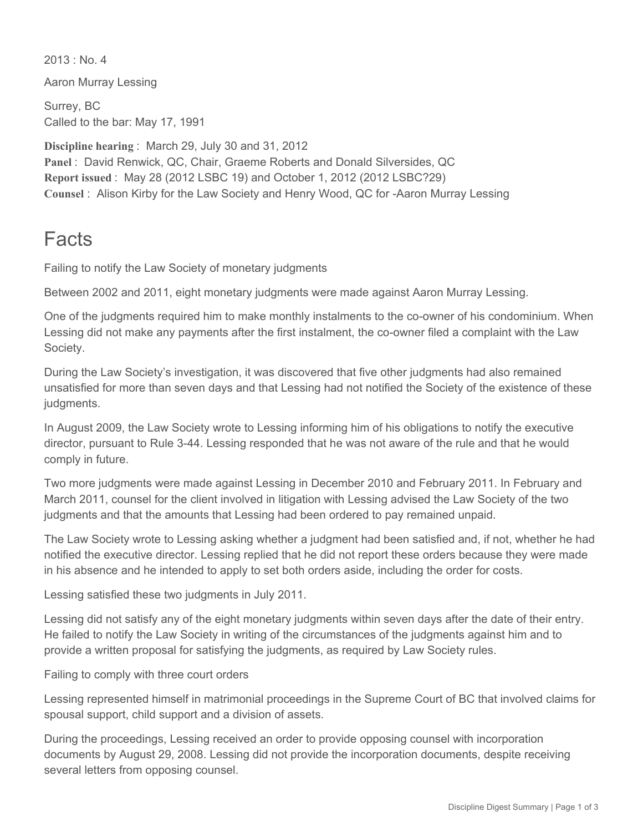$2013 \cdot$  No. 4

Aaron Murray Lessing

Surrey, BC Called to the bar: May 17, 1991

**Discipline hearing** : March 29, July 30 and 31, 2012 **Panel** : David Renwick, QC, Chair, Graeme Roberts and Donald Silversides, QC **Report issued** : May 28 (2012 LSBC 19) and October 1, 2012 (2012 LSBC?29) Counsel : Alison Kirby for the Law Society and Henry Wood, QC for -Aaron Murray Lessing

## Facts

Failing to notify the Law Society of monetary judgments

Between 2002 and 2011, eight monetary judgments were made against Aaron Murray Lessing.

One of the judgments required him to make monthly instalments to the co-owner of his condominium. When Lessing did not make any payments after the first instalment, the co-owner filed a complaint with the Law Society.

During the Law Society's investigation, it was discovered that five other judgments had also remained unsatisfied for more than seven days and that Lessing had not notified the Society of the existence of these judgments.

In August 2009, the Law Society wrote to Lessing informing him of his obligations to notify the executive director, pursuant to Rule 344. Lessing responded that he was not aware of the rule and that he would comply in future.

Two more judgments were made against Lessing in December 2010 and February 2011. In February and March 2011, counsel for the client involved in litigation with Lessing advised the Law Society of the two judgments and that the amounts that Lessing had been ordered to pay remained unpaid.

The Law Society wrote to Lessing asking whether a judgment had been satisfied and, if not, whether he had notified the executive director. Lessing replied that he did not report these orders because they were made in his absence and he intended to apply to set both orders aside, including the order for costs.

Lessing satisfied these two judgments in July 2011.

Lessing did not satisfy any of the eight monetary judgments within seven days after the date of their entry. He failed to notify the Law Society in writing of the circumstances of the judgments against him and to provide a written proposal for satisfying the judgments, as required by Law Society rules.

Failing to comply with three court orders

Lessing represented himself in matrimonial proceedings in the Supreme Court of BC that involved claims for spousal support, child support and a division of assets.

During the proceedings, Lessing received an order to provide opposing counsel with incorporation documents by August 29, 2008. Lessing did not provide the incorporation documents, despite receiving several letters from opposing counsel.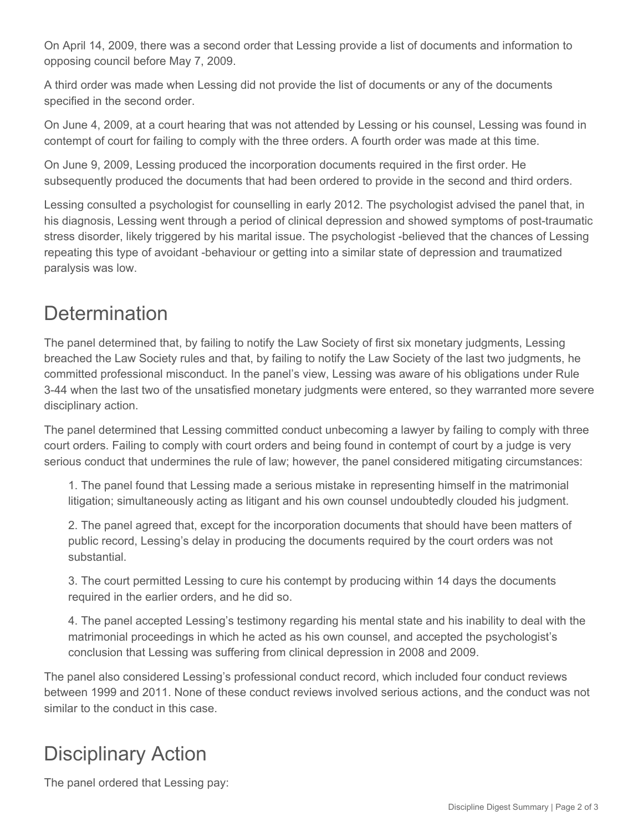On April 14, 2009, there was a second order that Lessing provide a list of documents and information to opposing council before May 7, 2009.

A third order was made when Lessing did not provide the list of documents or any of the documents specified in the second order.

On June 4, 2009, at a court hearing that was not attended by Lessing or his counsel, Lessing was found in contempt of court for failing to comply with the three orders. A fourth order was made at this time.

On June 9, 2009, Lessing produced the incorporation documents required in the first order. He subsequently produced the documents that had been ordered to provide in the second and third orders.

Lessing consulted a psychologist for counselling in early 2012. The psychologist advised the panel that, in his diagnosis, Lessing went through a period of clinical depression and showed symptoms of post-traumatic stress disorder, likely triggered by his marital issue. The psychologist -believed that the chances of Lessing repeating this type of avoidant -behaviour or getting into a similar state of depression and traumatized paralysis was low.

## **Determination**

The panel determined that, by failing to notify the Law Society of first six monetary judgments, Lessing breached the Law Society rules and that, by failing to notify the Law Society of the last two judgments, he committed professional misconduct. In the panel's view, Lessing was aware of his obligations under Rule 344 when the last two of the unsatisfied monetary judgments were entered, so they warranted more severe disciplinary action.

The panel determined that Lessing committed conduct unbecoming a lawyer by failing to comply with three court orders. Failing to comply with court orders and being found in contempt of court by a judge is very serious conduct that undermines the rule of law; however, the panel considered mitigating circumstances:

1. The panel found that Lessing made a serious mistake in representing himself in the matrimonial litigation; simultaneously acting as litigant and his own counsel undoubtedly clouded his judgment.

2. The panel agreed that, except for the incorporation documents that should have been matters of public record, Lessing's delay in producing the documents required by the court orders was not substantial.

3. The court permitted Lessing to cure his contempt by producing within 14 days the documents required in the earlier orders, and he did so.

4. The panel accepted Lessing's testimony regarding his mental state and his inability to deal with the matrimonial proceedings in which he acted as his own counsel, and accepted the psychologist's conclusion that Lessing was suffering from clinical depression in 2008 and 2009.

The panel also considered Lessing's professional conduct record, which included four conduct reviews between 1999 and 2011. None of these conduct reviews involved serious actions, and the conduct was not similar to the conduct in this case.

## Disciplinary Action

The panel ordered that Lessing pay: